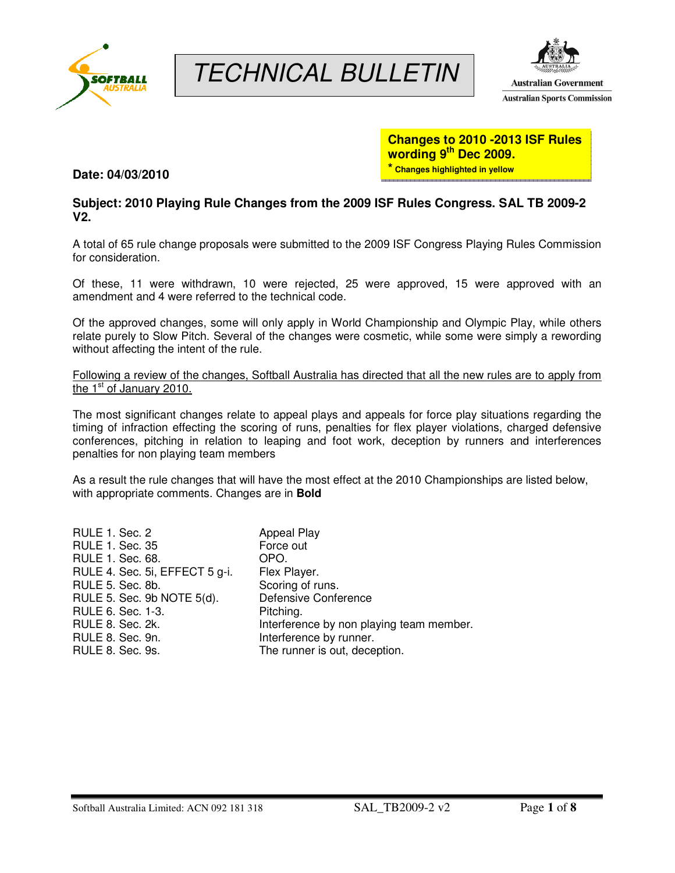

# TECHNICAL BULLETIN



# **Changes to 2010 -2013 ISF Rules wording 9th Dec 2009. \* Changes highlighted in yellow**

**Date: 04/03/2010** 

# **Subject: 2010 Playing Rule Changes from the 2009 ISF Rules Congress. SAL TB 2009-2 V2.**

A total of 65 rule change proposals were submitted to the 2009 ISF Congress Playing Rules Commission for consideration.

Of these, 11 were withdrawn, 10 were rejected, 25 were approved, 15 were approved with an amendment and 4 were referred to the technical code.

Of the approved changes, some will only apply in World Championship and Olympic Play, while others relate purely to Slow Pitch. Several of the changes were cosmetic, while some were simply a rewording without affecting the intent of the rule.

Following a review of the changes, Softball Australia has directed that all the new rules are to apply from the 1<sup>st</sup> of January 2010.

The most significant changes relate to appeal plays and appeals for force play situations regarding the timing of infraction effecting the scoring of runs, penalties for flex player violations, charged defensive conferences, pitching in relation to leaping and foot work, deception by runners and interferences penalties for non playing team members

As a result the rule changes that will have the most effect at the 2010 Championships are listed below, with appropriate comments. Changes are in **Bold**

| RULE 1. Sec. 2                 | <b>Appeal Play</b>                       |
|--------------------------------|------------------------------------------|
| <b>RULE 1. Sec. 35</b>         | Force out                                |
| RULE 1. Sec. 68.               | OPO.                                     |
| RULE 4. Sec. 5i, EFFECT 5 g-i. | Flex Player.                             |
| RULE 5. Sec. 8b.               | Scoring of runs.                         |
| RULE 5. Sec. 9b NOTE 5(d).     | Defensive Conference                     |
| RULE 6. Sec. 1-3.              | Pitching.                                |
| RULE 8. Sec. 2k.               | Interference by non playing team member. |
| RULE 8. Sec. 9n.               | Interference by runner.                  |
| <b>RULE 8. Sec. 9s.</b>        | The runner is out, deception.            |
|                                |                                          |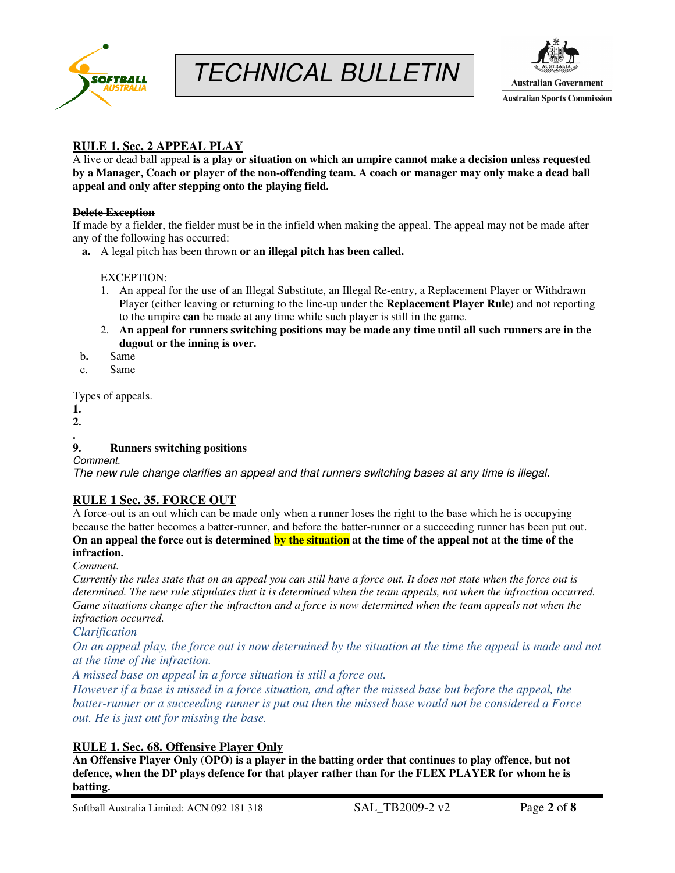





# **RULE 1. Sec. 2 APPEAL PLAY**

A live or dead ball appeal **is a play or situation on which an umpire cannot make a decision unless requested by a Manager, Coach or player of the non-offending team. A coach or manager may only make a dead ball appeal and only after stepping onto the playing field.** 

#### **Delete Exception**

If made by a fielder, the fielder must be in the infield when making the appeal. The appeal may not be made after any of the following has occurred:

**a.** A legal pitch has been thrown **or an illegal pitch has been called.**

#### EXCEPTION:

- 1. An appeal for the use of an Illegal Substitute, an Illegal Re-entry, a Replacement Player or Withdrawn Player (either leaving or returning to the line-up under the **Replacement Player Rule**) and not reporting to the umpire **can** be made at any time while such player is still in the game.
- 2. **An appeal for runners switching positions may be made any time until all such runners are in the dugout or the inning is over.**
- b**.** Same
- c. Same

Types of appeals.

- **1.**
- **2.**
- **.**

# **9. Runners switching positions**

Comment.

The new rule change clarifies an appeal and that runners switching bases at any time is illegal.

# **RULE 1 Sec. 35. FORCE OUT**

A force-out is an out which can be made only when a runner loses the right to the base which he is occupying because the batter becomes a batter-runner, and before the batter-runner or a succeeding runner has been put out. **On an appeal the force out is determined by the situation at the time of the appeal not at the time of the infraction.** 

*Comment.* 

*Currently the rules state that on an appeal you can still have a force out. It does not state when the force out is determined. The new rule stipulates that it is determined when the team appeals, not when the infraction occurred. Game situations change after the infraction and a force is now determined when the team appeals not when the infraction occurred.* 

*Clarification*

*On an appeal play, the force out is now determined by the situation at the time the appeal is made and not at the time of the infraction.* 

*A missed base on appeal in a force situation is still a force out.* 

*However if a base is missed in a force situation, and after the missed base but before the appeal, the batter-runner or a succeeding runner is put out then the missed base would not be considered a Force out. He is just out for missing the base.* 

# **RULE 1. Sec. 68. Offensive Player Only**

**An Offensive Player Only (OPO) is a player in the batting order that continues to play offence, but not defence, when the DP plays defence for that player rather than for the FLEX PLAYER for whom he is batting.**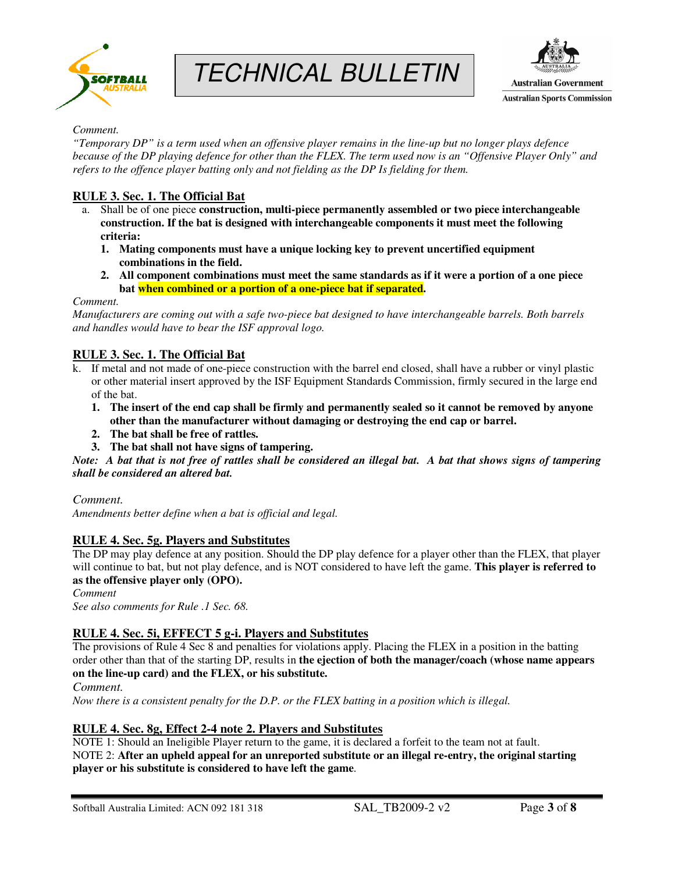





#### *Comment.*

*"Temporary DP" is a term used when an offensive player remains in the line-up but no longer plays defence because of the DP playing defence for other than the FLEX. The term used now is an "Offensive Player Only" and refers to the offence player batting only and not fielding as the DP Is fielding for them.* 

## **RULE 3. Sec. 1. The Official Bat**

- a. Shall be of one piece **construction, multi-piece permanently assembled or two piece interchangeable construction. If the bat is designed with interchangeable components it must meet the following criteria:** 
	- **1. Mating components must have a unique locking key to prevent uncertified equipment combinations in the field.**
	- **2. All component combinations must meet the same standards as if it were a portion of a one piece bat when combined or a portion of a one-piece bat if separated.**

#### *Comment.*

*Manufacturers are coming out with a safe two-piece bat designed to have interchangeable barrels. Both barrels and handles would have to bear the ISF approval logo.* 

# **RULE 3. Sec. 1. The Official Bat**

- k. If metal and not made of one-piece construction with the barrel end closed, shall have a rubber or vinyl plastic or other material insert approved by the ISF Equipment Standards Commission, firmly secured in the large end of the bat.
	- **1. The insert of the end cap shall be firmly and permanently sealed so it cannot be removed by anyone other than the manufacturer without damaging or destroying the end cap or barrel.**
	- **2. The bat shall be free of rattles.**
	- **3. The bat shall not have signs of tampering.**

*Note: A bat that is not free of rattles shall be considered an illegal bat. A bat that shows signs of tampering shall be considered an altered bat.* 

#### *Comment.*

*Amendments better define when a bat is official and legal.* 

#### **RULE 4. Sec. 5g. Players and Substitutes**

The DP may play defence at any position. Should the DP play defence for a player other than the FLEX, that player will continue to bat, but not play defence, and is NOT considered to have left the game. **This player is referred to as the offensive player only (OPO).**

*Comment* 

*See also comments for Rule .1 Sec. 68.* 

#### **RULE 4. Sec. 5i, EFFECT 5 g-i. Players and Substitutes**

The provisions of Rule 4 Sec 8 and penalties for violations apply. Placing the FLEX in a position in the batting order other than that of the starting DP, results in **the ejection of both the manager/coach (whose name appears on the line-up card) and the FLEX, or his substitute.** 

*Comment.* 

*Now there is a consistent penalty for the D.P. or the FLEX batting in a position which is illegal.* 

#### **RULE 4. Sec. 8g, Effect 2-4 note 2. Players and Substitutes**

NOTE 1: Should an Ineligible Player return to the game, it is declared a forfeit to the team not at fault. NOTE 2: **After an upheld appeal for an unreported substitute or an illegal re-entry, the original starting player or his substitute is considered to have left the game**.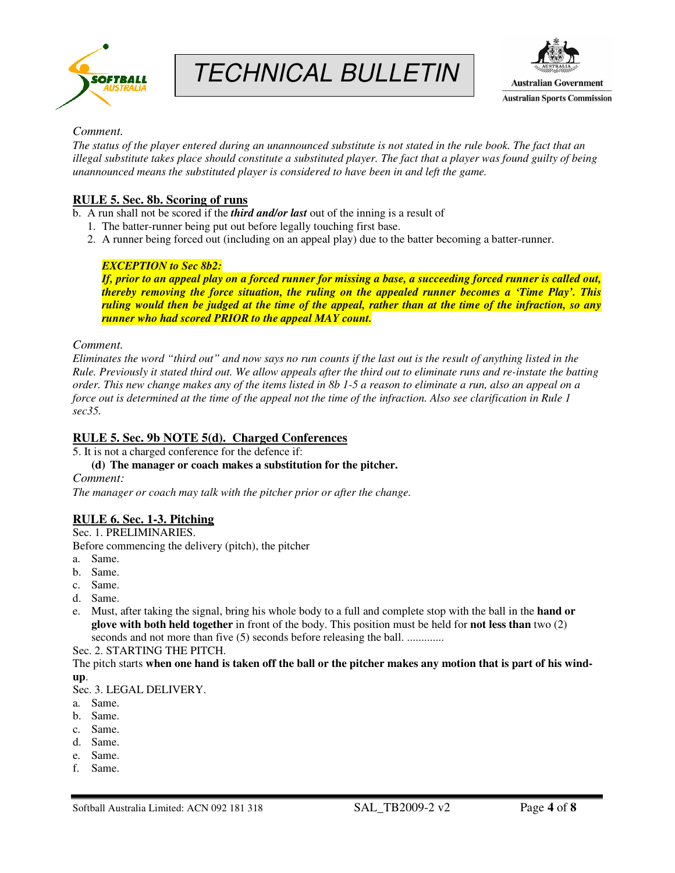





#### *Comment.*

*The status of the player entered during an unannounced substitute is not stated in the rule book. The fact that an illegal substitute takes place should constitute a substituted player. The fact that a player was found guilty of being unannounced means the substituted player is considered to have been in and left the game.* 

## **RULE 5. Sec. 8b. Scoring of runs**

b. A run shall not be scored if the *third and/or last* out of the inning is a result of

- 1. The batter-runner being put out before legally touching first base.
- 2. A runner being forced out (including on an appeal play) due to the batter becoming a batter-runner.

#### *EXCEPTION to Sec 8b2:*

*If, prior to an appeal play on a forced runner for missing a base, a succeeding forced runner is called out, thereby removing the force situation, the ruling on the appealed runner becomes a 'Time Play'. This ruling would then be judged at the time of the appeal, rather than at the time of the infraction, so any runner who had scored PRIOR to the appeal MAY count.* 

#### *Comment.*

*Eliminates the word "third out" and now says no run counts if the last out is the result of anything listed in the Rule. Previously it stated third out. We allow appeals after the third out to eliminate runs and re-instate the batting order. This new change makes any of the items listed in 8b 1-5 a reason to eliminate a run, also an appeal on a force out is determined at the time of the appeal not the time of the infraction. Also see clarification in Rule 1 sec35.* 

#### **RULE 5. Sec. 9b NOTE 5(d). Charged Conferences**

5. It is not a charged conference for the defence if:

**(d) The manager or coach makes a substitution for the pitcher.** 

*Comment:* 

*The manager or coach may talk with the pitcher prior or after the change.* 

#### **RULE 6. Sec. 1-3. Pitching**

Sec. 1. PRELIMINARIES.

Before commencing the delivery (pitch), the pitcher

- a. Same.
- b. Same.
- c. Same.
- d. Same.
- e. Must, after taking the signal, bring his whole body to a full and complete stop with the ball in the **hand or glove with both held together** in front of the body. This position must be held for **not less than** two (2) seconds and not more than five (5) seconds before releasing the ball. .............

Sec. 2. STARTING THE PITCH.

The pitch starts **when one hand is taken off the ball or the pitcher makes any motion that is part of his windup**.

Sec. 3. LEGAL DELIVERY.

- a. Same.
- b. Same.
- c. Same.
- d. Same.
- e. Same.
- f. Same.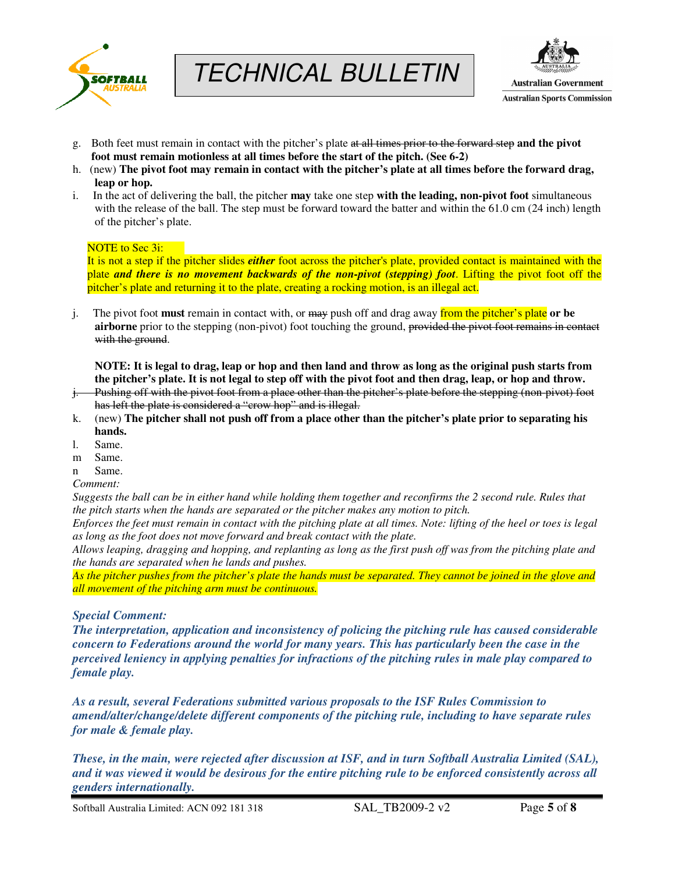





- g. Both feet must remain in contact with the pitcher's plate at all times prior to the forward step **and the pivot foot must remain motionless at all times before the start of the pitch. (See 6-2)**
- h. (new) **The pivot foot may remain in contact with the pitcher's plate at all times before the forward drag, leap or hop.**
- i. In the act of delivering the ball, the pitcher **may** take one step **with the leading, non-pivot foot** simultaneous with the release of the ball. The step must be forward toward the batter and within the 61.0 cm (24 inch) length of the pitcher's plate.

#### NOTE to Sec 3i:

It is not a step if the pitcher slides *either* foot across the pitcher's plate, provided contact is maintained with the plate *and there is no movement backwards of the non-pivot (stepping) foot*. Lifting the pivot foot off the pitcher's plate and returning it to the plate, creating a rocking motion, is an illegal act.

j. The pivot foot **must** remain in contact with, or may push off and drag away from the pitcher's plate **or be airborne** prior to the stepping (non-pivot) foot touching the ground, provided the pivot foot remains in contact with the ground.

**NOTE: It is legal to drag, leap or hop and then land and throw as long as the original push starts from the pitcher's plate. It is not legal to step off with the pivot foot and then drag, leap, or hop and throw.** 

- j. Pushing off with the pivot foot from a place other than the pitcher's plate before the stepping (non-pivot) foot has left the plate is considered a "crow hop" and is illegal.
- k. (new) **The pitcher shall not push off from a place other than the pitcher's plate prior to separating his hands.**
- l. Same.
- m Same.
- n Same.
- *Comment:*

*Suggests the ball can be in either hand while holding them together and reconfirms the 2 second rule. Rules that the pitch starts when the hands are separated or the pitcher makes any motion to pitch.* 

*Enforces the feet must remain in contact with the pitching plate at all times. Note: lifting of the heel or toes is legal as long as the foot does not move forward and break contact with the plate.* 

*Allows leaping, dragging and hopping, and replanting as long as the first push off was from the pitching plate and the hands are separated when he lands and pushes.* 

*As the pitcher pushes from the pitcher's plate the hands must be separated. They cannot be joined in the glove and all movement of the pitching arm must be continuous.* 

#### *Special Comment:*

*The interpretation, application and inconsistency of policing the pitching rule has caused considerable concern to Federations around the world for many years. This has particularly been the case in the perceived leniency in applying penalties for infractions of the pitching rules in male play compared to female play.* 

*As a result, several Federations submitted various proposals to the ISF Rules Commission to amend/alter/change/delete different components of the pitching rule, including to have separate rules for male & female play.* 

*These, in the main, were rejected after discussion at ISF, and in turn Softball Australia Limited (SAL), and it was viewed it would be desirous for the entire pitching rule to be enforced consistently across all genders internationally.*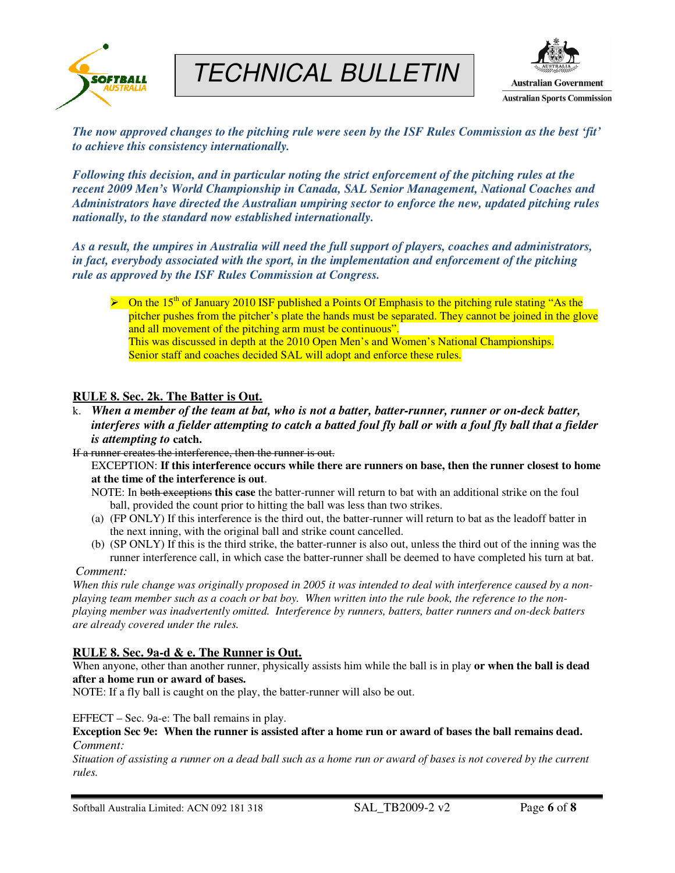

# TECHNICAL BULLETIN



*The now approved changes to the pitching rule were seen by the ISF Rules Commission as the best 'fit' to achieve this consistency internationally.* 

*Following this decision, and in particular noting the strict enforcement of the pitching rules at the recent 2009 Men's World Championship in Canada, SAL Senior Management, National Coaches and Administrators have directed the Australian umpiring sector to enforce the new, updated pitching rules nationally, to the standard now established internationally.* 

*As a result, the umpires in Australia will need the full support of players, coaches and administrators, in fact, everybody associated with the sport, in the implementation and enforcement of the pitching rule as approved by the ISF Rules Commission at Congress.*

 $\triangleright$  On the 15<sup>th</sup> of January 2010 ISF published a Points Of Emphasis to the pitching rule stating "As the pitcher pushes from the pitcher's plate the hands must be separated. They cannot be joined in the glove and all movement of the pitching arm must be continuous". This was discussed in depth at the 2010 Open Men's and Women's National Championships. Senior staff and coaches decided SAL will adopt and enforce these rules.

## **RULE 8. Sec. 2k. The Batter is Out.**

k. *When a member of the team at bat, who is not a batter, batter-runner, runner or on-deck batter, interferes with a fielder attempting to catch a batted foul fly ball or with a foul fly ball that a fielder is attempting to* **catch.** 

If a runner creates the interference, then the runner is out.

EXCEPTION: **If this interference occurs while there are runners on base, then the runner closest to home at the time of the interference is out**.

- NOTE: In both exceptions **this case** the batter-runner will return to bat with an additional strike on the foul ball, provided the count prior to hitting the ball was less than two strikes.
- (a) (FP ONLY) If this interference is the third out, the batter-runner will return to bat as the leadoff batter in the next inning, with the original ball and strike count cancelled.
- (b) (SP ONLY) If this is the third strike, the batter-runner is also out, unless the third out of the inning was the runner interference call, in which case the batter-runner shall be deemed to have completed his turn at bat.

#### *Comment:*

*When this rule change was originally proposed in 2005 it was intended to deal with interference caused by a nonplaying team member such as a coach or bat boy. When written into the rule book, the reference to the nonplaying member was inadvertently omitted. Interference by runners, batters, batter runners and on-deck batters are already covered under the rules.* 

#### **RULE 8. Sec. 9a-d & e. The Runner is Out.**

When anyone, other than another runner, physically assists him while the ball is in play **or when the ball is dead after a home run or award of bases.** 

NOTE: If a fly ball is caught on the play, the batter-runner will also be out.

EFFECT – Sec. 9a-e: The ball remains in play.

**Exception Sec 9e: When the runner is assisted after a home run or award of bases the ball remains dead.**  *Comment:* 

*Situation of assisting a runner on a dead ball such as a home run or award of bases is not covered by the current rules.*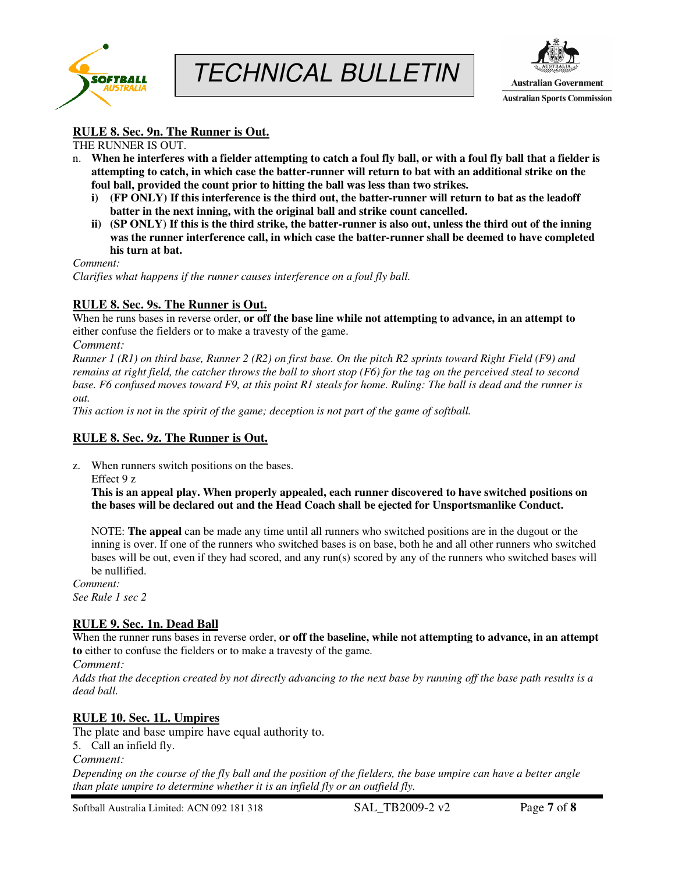



# **RULE 8. Sec. 9n. The Runner is Out.**

THE RUNNER IS OUT.

- n. **When he interferes with a fielder attempting to catch a foul fly ball, or with a foul fly ball that a fielder is attempting to catch, in which case the batter-runner will return to bat with an additional strike on the foul ball, provided the count prior to hitting the ball was less than two strikes.** 
	- **i) (FP ONLY) If this interference is the third out, the batter-runner will return to bat as the leadoff batter in the next inning, with the original ball and strike count cancelled.**
	- **ii) (SP ONLY) If this is the third strike, the batter-runner is also out, unless the third out of the inning was the runner interference call, in which case the batter-runner shall be deemed to have completed his turn at bat.**

*Comment:*

*Clarifies what happens if the runner causes interference on a foul fly ball.* 

#### **RULE 8. Sec. 9s. The Runner is Out.**

When he runs bases in reverse order, **or off the base line while not attempting to advance, in an attempt to** either confuse the fielders or to make a travesty of the game.

*Comment:* 

*Runner 1 (R1) on third base, Runner 2 (R2) on first base. On the pitch R2 sprints toward Right Field (F9) and remains at right field, the catcher throws the ball to short stop (F6) for the tag on the perceived steal to second base. F6 confused moves toward F9, at this point R1 steals for home. Ruling: The ball is dead and the runner is out.* 

*This action is not in the spirit of the game; deception is not part of the game of softball.*

#### **RULE 8. Sec. 9z. The Runner is Out.**

z. When runners switch positions on the bases.

Effect 9 z

**This is an appeal play. When properly appealed, each runner discovered to have switched positions on the bases will be declared out and the Head Coach shall be ejected for Unsportsmanlike Conduct.** 

NOTE: **The appeal** can be made any time until all runners who switched positions are in the dugout or the inning is over. If one of the runners who switched bases is on base, both he and all other runners who switched bases will be out, even if they had scored, and any run(s) scored by any of the runners who switched bases will be nullified.

*Comment: See Rule 1 sec 2* 

# **RULE 9. Sec. 1n. Dead Ball**

When the runner runs bases in reverse order, **or off the baseline, while not attempting to advance, in an attempt to** either to confuse the fielders or to make a travesty of the game.

*Comment:*

*Adds that the deception created by not directly advancing to the next base by running off the base path results is a dead ball.* 

# **RULE 10. Sec. 1L. Umpires**

The plate and base umpire have equal authority to.

5. Call an infield fly.

*Comment:* 

*Depending on the course of the fly ball and the position of the fielders, the base umpire can have a better angle than plate umpire to determine whether it is an infield fly or an outfield fly.* 

Softball Australia Limited: ACN 092 181 318 SAL\_TB2009-2 v2 Page **7** of **8**